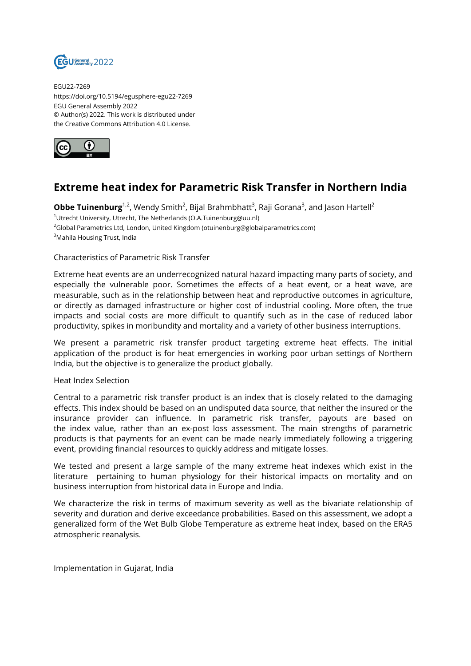

EGU22-7269 https://doi.org/10.5194/egusphere-egu22-7269 EGU General Assembly 2022 © Author(s) 2022. This work is distributed under the Creative Commons Attribution 4.0 License.



## **Extreme heat index for Parametric Risk Transfer in Northern India**

 $\bm{\mathsf{Obbe}\; Tunenburg}^{1,2}$ , Wendy Smith $^2$ , Bijal Brahmbhatt $^3$ , Raji Gorana $^3$ , and Jason Hartell $^2$ <sup>1</sup>Utrecht University, Utrecht, The Netherlands (O.A.Tuinenburg@uu.nl) <sup>2</sup>Global Parametrics Ltd, London, United Kingdom (otuinenburg@globalparametrics.com) <sup>3</sup>Mahila Housing Trust, India

## Characteristics of Parametric Risk Transfer

Extreme heat events are an underrecognized natural hazard impacting many parts of society, and especially the vulnerable poor. Sometimes the effects of a heat event, or a heat wave, are measurable, such as in the relationship between heat and reproductive outcomes in agriculture, or directly as damaged infrastructure or higher cost of industrial cooling. More often, the true impacts and social costs are more difficult to quantify such as in the case of reduced labor productivity, spikes in moribundity and mortality and a variety of other business interruptions.

We present a parametric risk transfer product targeting extreme heat effects. The initial application of the product is for heat emergencies in working poor urban settings of Northern India, but the objective is to generalize the product globally.

## Heat Index Selection

Central to a parametric risk transfer product is an index that is closely related to the damaging effects. This index should be based on an undisputed data source, that neither the insured or the insurance provider can influence. In parametric risk transfer, payouts are based on the index value, rather than an ex-post loss assessment. The main strengths of parametric products is that payments for an event can be made nearly immediately following a triggering event, providing financial resources to quickly address and mitigate losses.

We tested and present a large sample of the many extreme heat indexes which exist in the literature pertaining to human physiology for their historical impacts on mortality and on business interruption from historical data in Europe and India.

We characterize the risk in terms of maximum severity as well as the bivariate relationship of severity and duration and derive exceedance probabilities. Based on this assessment, we adopt a generalized form of the Wet Bulb Globe Temperature as extreme heat index, based on the ERA5 atmospheric reanalysis.

Implementation in Gujarat, India